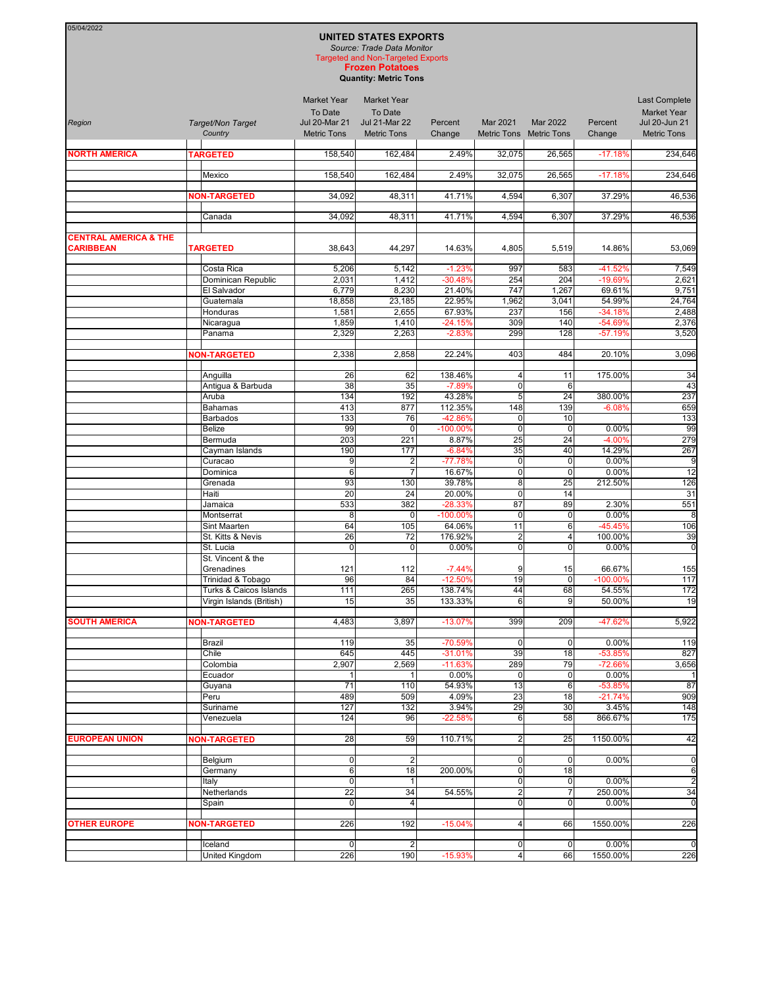| 05/04/2022                                           |                                             |                                                                             |                                                                                                        |                       |                                  |                                     |                      |                                                                            |
|------------------------------------------------------|---------------------------------------------|-----------------------------------------------------------------------------|--------------------------------------------------------------------------------------------------------|-----------------------|----------------------------------|-------------------------------------|----------------------|----------------------------------------------------------------------------|
|                                                      |                                             |                                                                             | <b>UNITED STATES EXPORTS</b><br>Source: Trade Data Monitor<br><b>Targeted and Non-Targeted Exports</b> |                       |                                  |                                     |                      |                                                                            |
|                                                      |                                             |                                                                             | <b>Frozen Potatoes</b><br><b>Quantity: Metric Tons</b>                                                 |                       |                                  |                                     |                      |                                                                            |
| Region                                               | Target/Non Target<br>Country                | <b>Market Year</b><br>To Date<br><b>Jul 20-Mar 21</b><br><b>Metric Tons</b> | <b>Market Year</b><br>To Date<br><b>Jul 21-Mar 22</b><br><b>Metric Tons</b>                            | Percent<br>Change     | Mar 2021                         | Mar 2022<br>Metric Tons Metric Tons | Percent<br>Change    | Last Complete<br><b>Market Year</b><br>Jul 20-Jun 21<br><b>Metric Tons</b> |
| <b>NORTH AMERICA</b>                                 | <b>TARGETED</b>                             | 158,540                                                                     | 162,484                                                                                                | 2.49%                 | 32.075                           | 26,565                              | $-17.18%$            | 234,646                                                                    |
|                                                      |                                             |                                                                             |                                                                                                        |                       |                                  |                                     |                      |                                                                            |
|                                                      | Mexico                                      | 158,540                                                                     | 162,484                                                                                                | 2.49%                 | 32,075                           | 26,565                              | $-17.18%$            | 234,646                                                                    |
|                                                      | <b>NON-TARGETED</b>                         | 34,092                                                                      | 48,311                                                                                                 | 41.71%                | 4,594                            | 6,307                               | 37.29%               | 46,536                                                                     |
|                                                      | Canada                                      | 34,092                                                                      | 48,311                                                                                                 | 41.71%                | 4,594                            | 6,307                               | 37.29%               | 46,536                                                                     |
| <b>CENTRAL AMERICA &amp; THE</b><br><b>CARIBBEAN</b> | <b>TARGETED</b>                             | 38,643                                                                      | 44,297                                                                                                 | 14.63%                | 4,805                            | 5,519                               | 14.86%               | 53,069                                                                     |
|                                                      |                                             |                                                                             |                                                                                                        |                       |                                  |                                     |                      |                                                                            |
|                                                      | Costa Rica<br>Dominican Republic            | 5,206<br>2,031                                                              | 5,142<br>1,412                                                                                         | $-1.23%$<br>$-30.48%$ | 997<br>254                       | 583<br>204                          | -41.52%<br>-19.69%   | 7,549<br>2,621                                                             |
|                                                      | El Salvador                                 | 6,779                                                                       | 8,230                                                                                                  | 21.40%                | 747                              | 1,267                               | 69.61%               | 9,751                                                                      |
|                                                      | Guatemala                                   | 18,858                                                                      | 23,185                                                                                                 | 22.95%                | 1,962                            | 3,041                               | 54.99%               | 24,764                                                                     |
|                                                      | Honduras                                    | 1,581                                                                       | 2,655                                                                                                  | 67.93%                | 237                              | 156                                 | $-34.18%$            | 2,488                                                                      |
|                                                      | Nicaragua                                   | 1,859                                                                       | 1,410                                                                                                  | $-24.15%$             | 309                              | 140                                 | -54.69%              | 2,376                                                                      |
|                                                      | Panama                                      | 2,329                                                                       | 2,263                                                                                                  | $-2.83%$              | 299                              | 128                                 | $-57.19%$            | 3,520                                                                      |
|                                                      | <b>NON-TARGETED</b>                         | 2,338                                                                       | 2,858                                                                                                  | 22.24%                | 403                              | 484                                 | 20.10%               | 3,096                                                                      |
|                                                      | Anguilla                                    | 26                                                                          | 62                                                                                                     | 138.46%               | 4                                | 11                                  | 175.00%              | 34                                                                         |
|                                                      | Antigua & Barbuda                           | 38                                                                          | 35                                                                                                     | $-7.89%$              | $\overline{0}$                   | $6\phantom{1}6$                     |                      | 43                                                                         |
|                                                      | Aruba                                       | 134                                                                         | 192                                                                                                    | 43.28%                | 5 <sup>1</sup>                   | 24                                  | 380.00%              | 237                                                                        |
|                                                      | <b>Bahamas</b><br><b>Barbados</b>           | 413<br>133                                                                  | 877<br>76                                                                                              | 112.35%<br>-42.86%    | 148<br>$\pmb{0}$                 | 139<br>10                           | $-6.08%$             | 659<br>133                                                                 |
|                                                      | <b>Belize</b>                               | 99                                                                          | $\mathbf 0$                                                                                            | $-100.00%$            | $\mathbf 0$                      | $\mathbf 0$                         | 0.00%                | 99                                                                         |
|                                                      | Bermuda                                     | 203                                                                         | 221                                                                                                    | 8.87%                 | 25                               | 24                                  | $-4.00%$             | 279                                                                        |
|                                                      | Cayman Islands                              | 190                                                                         | 177                                                                                                    | $-6.84%$              | $\overline{35}$                  | 40                                  | 14.29%               | 267                                                                        |
|                                                      | Curacao<br>Dominica                         | 9<br>6                                                                      | $\overline{c}$<br>$\overline{7}$                                                                       | $-77.78%$<br>16.67%   | $\mathbf 0$<br>O                 | $\mathbf 0$<br>$\mathbf 0$          | 0.00%<br>0.00%       | 9<br>12                                                                    |
|                                                      | Grenada                                     | 93                                                                          | 130                                                                                                    | 39.78%                | 8                                | 25                                  | 212.50%              | 126                                                                        |
|                                                      | Haiti                                       | 20                                                                          | 24                                                                                                     | 20.00%                | $\overline{0}$                   | 14                                  |                      | 31                                                                         |
|                                                      | Jamaica                                     | 533                                                                         | 382                                                                                                    | $-28.33%$             | 87                               | 89                                  | 2.30%                | 551                                                                        |
|                                                      | Montserrat                                  | 8                                                                           | $\mathbf 0$                                                                                            | -100.00%              | $\mathbf 0$                      | $\pmb{0}$                           | 0.00%                | 8                                                                          |
|                                                      | Sint Maarten<br>St. Kitts & Nevis           | 64<br>26                                                                    | 105<br>72                                                                                              | 64.06%<br>176.92%     | 11<br>2                          | 6<br>4                              | -45.45%<br>100.00%   | 106<br>39                                                                  |
|                                                      | St. Lucia                                   | $\overline{0}$                                                              | $\mathbf 0$                                                                                            | 0.00%                 | $\overline{0}$                   | $\mathbf 0$                         | 0.00%                | $\mathbf 0$                                                                |
|                                                      | St. Vincent & the                           |                                                                             |                                                                                                        |                       |                                  |                                     |                      |                                                                            |
|                                                      | Grenadines                                  | 121                                                                         | 112                                                                                                    | $-7.44%$              | 9                                | 15                                  | 66.67%               | 155                                                                        |
|                                                      | Trinidad & Tobago<br>Turks & Caicos Islands | 96<br>111                                                                   | 84<br>265                                                                                              | $-12.50%$<br>138.74%  | $\overline{19}$<br>44            | $\pmb{0}$<br>68                     | 100.00%<br>54.55%    | 117<br>172                                                                 |
|                                                      | Virgin Islands (British)                    | 15                                                                          | 35                                                                                                     | 133.33%               | $6 \overline{6}$                 | 9                                   | 50.00%               | 19                                                                         |
|                                                      |                                             |                                                                             |                                                                                                        |                       |                                  |                                     |                      |                                                                            |
| <b>SOUTH AMERICA</b>                                 | <b>NON-TARGETED</b>                         | 4,483                                                                       | 3,897                                                                                                  | $-13.07%$             | 399                              | 209                                 | -47.62%              | 5,922                                                                      |
|                                                      | Brazil                                      | 119                                                                         | 35                                                                                                     | -70.59%               | $\overline{0}$                   | $\mathbf 0$                         | 0.00%                | 119                                                                        |
|                                                      | Chile                                       | 645                                                                         | 445                                                                                                    | $-31.01%$             | 39                               | 18                                  | $-53.85%$            | 827                                                                        |
|                                                      | Colombia                                    | 2,907                                                                       | 2,569                                                                                                  | $-11.63%$             | 289                              | 79                                  | -72.66%              | 3,656                                                                      |
|                                                      | Ecuador                                     | $\mathbf{1}$                                                                | $\mathbf{1}$                                                                                           | 0.00%                 | 0                                | $\mathbf 0$                         | 0.00%                | $\overline{\phantom{1}}$                                                   |
|                                                      | Guyana<br>Peru                              | 71<br>489                                                                   | 110<br>509                                                                                             | 54.93%<br>4.09%       | 13<br>23                         | 6<br>18                             | -53.85%<br>$-21.74%$ | 87<br>909                                                                  |
|                                                      | Suriname                                    | 127                                                                         | 132                                                                                                    | 3.94%                 | 29                               | 30                                  | 3.45%                | 148                                                                        |
|                                                      | Venezuela                                   | 124                                                                         | 96                                                                                                     | $-22.58%$             | $\,$ 6                           | 58                                  | 866.67%              | 175                                                                        |
|                                                      |                                             |                                                                             |                                                                                                        |                       |                                  |                                     |                      |                                                                            |
| <b>EUROPEAN UNION</b>                                | <b>NON-TARGETED</b>                         | 28                                                                          | 59                                                                                                     | 110.71%               | $\overline{a}$                   | 25                                  | 1150.00%             | 42                                                                         |
|                                                      | Belgium                                     | 0                                                                           | $\overline{2}$                                                                                         |                       | $\overline{0}$                   | $\mathbf 0$                         | 0.00%                | $\mathbf 0$                                                                |
|                                                      | Germany<br>Italy                            | 6<br>$\bf 0$                                                                | 18<br>$\mathbf{1}$                                                                                     | 200.00%               | $\overline{0}$<br>$\overline{0}$ | 18<br>$\mathbf 0$                   | 0.00%                | 6<br>$\overline{c}$                                                        |
|                                                      | Netherlands                                 | 22                                                                          | 34                                                                                                     | 54.55%                | $\overline{2}$                   | 7                                   | 250.00%              | 34                                                                         |
|                                                      | Spain                                       | $\overline{0}$                                                              | $\overline{4}$                                                                                         |                       | $\overline{0}$                   | $\mathbf 0$                         | 0.00%                | 0                                                                          |
| <b>OTHER EUROPE</b>                                  | <b>NON-TARGETED</b>                         | 226                                                                         | 192                                                                                                    | $-15.04%$             | $\frac{4}{3}$                    | 66                                  | 1550.00%             | 226                                                                        |
|                                                      |                                             |                                                                             |                                                                                                        |                       |                                  |                                     |                      |                                                                            |
|                                                      | Iceland<br><b>United Kingdom</b>            | $\overline{0}$<br>226                                                       | $\overline{c}$<br>190                                                                                  | $-15.93%$             | $\overline{0}$<br>$\overline{4}$ | 0 <br>66                            | 0.00%<br>1550.00%    | $\mathbf 0$<br>226                                                         |
|                                                      |                                             |                                                                             |                                                                                                        |                       |                                  |                                     |                      |                                                                            |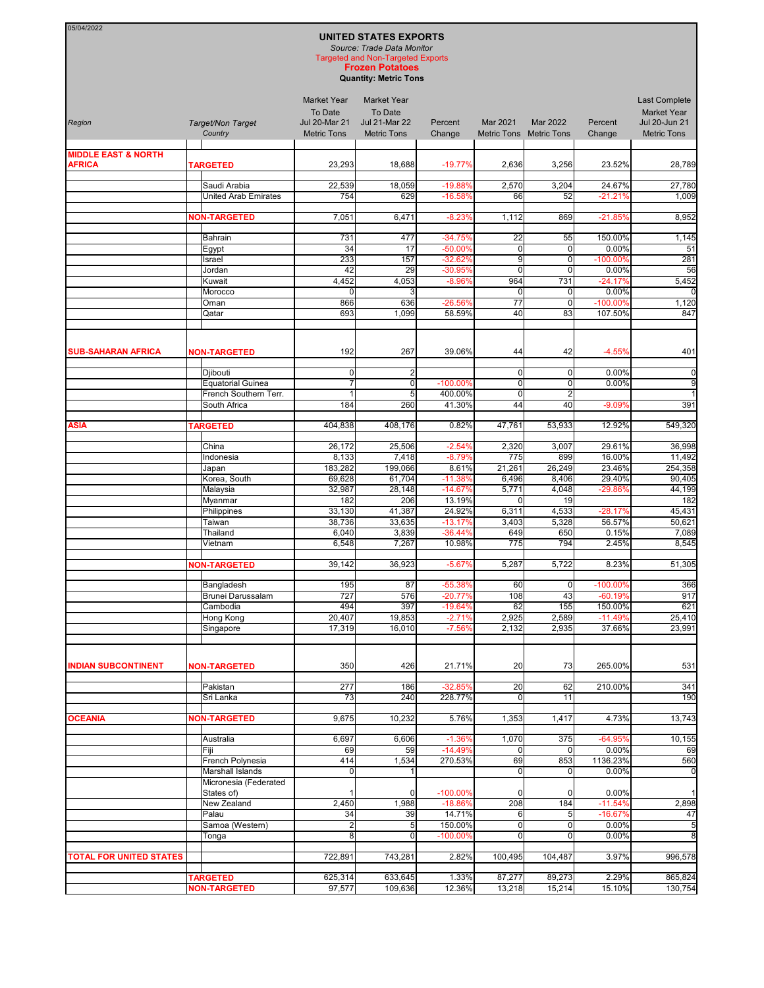## **UNITED STATES EXPORTS**

05/04/2022

*Source: Trade Data Monitor* Targeted and Non-Targeted Exports

**Frozen Potatoes Quantity: Metric Tons**

| Region                         | Target/Non Target<br>Country                | <b>Market Year</b><br>To Date<br><b>Jul 20-Mar 21</b><br><b>Metric Tons</b> | <b>Market Year</b><br>To Date<br><b>Jul 21-Mar 22</b><br><b>Metric Tons</b> | Percent<br>Change      | Mar 2021         | Mar 2022<br>Metric Tons Metric Tons | Percent<br>Change   | Last Complete<br><b>Market Year</b><br>Jul 20-Jun 21<br><b>Metric Tons</b> |
|--------------------------------|---------------------------------------------|-----------------------------------------------------------------------------|-----------------------------------------------------------------------------|------------------------|------------------|-------------------------------------|---------------------|----------------------------------------------------------------------------|
| <b>MIDDLE EAST &amp; NORTH</b> |                                             |                                                                             |                                                                             |                        |                  |                                     |                     |                                                                            |
| <b>AFRICA</b>                  | <b>TARGETED</b>                             | 23,293                                                                      | 18,688                                                                      | $-19.77%$              | 2,636            | 3,256                               | 23.52%              | 28,789                                                                     |
|                                |                                             |                                                                             |                                                                             |                        |                  |                                     |                     |                                                                            |
|                                | Saudi Arabia<br><b>United Arab Emirates</b> | 22,539<br>754                                                               | 18,059<br>629                                                               | $-19.88%$<br>$-16.58%$ | 2,570<br>66      | 3,204<br>52                         | 24.67%<br>$-21.21%$ | 27,780<br>1,009                                                            |
|                                |                                             |                                                                             |                                                                             |                        |                  |                                     |                     |                                                                            |
|                                | <b>NON-TARGETED</b>                         | 7,051                                                                       | 6,471                                                                       | $-8.23%$               | 1,112            | 869                                 | $-21.85%$           | 8,952                                                                      |
|                                |                                             |                                                                             |                                                                             |                        |                  |                                     |                     |                                                                            |
|                                | Bahrain                                     | 731                                                                         | 477                                                                         | $-34.75%$              | 22               | 55                                  | 150.00%             | 1,145                                                                      |
|                                | Egypt                                       | 34                                                                          | 17                                                                          | -50.00%                | $\mathbf 0$      | 0                                   | 0.00%               | 51                                                                         |
|                                | Israel<br>Jordan                            | 233<br>42                                                                   | 157<br>29                                                                   | $-32.62%$<br>$-30.95%$ | 9<br>$\mathbf 0$ | $\mathbf 0$<br>0                    | $-100.00%$<br>0.00% | 281<br>56                                                                  |
|                                | Kuwait                                      | 4,452                                                                       | 4,053                                                                       | $-8.96%$               | 964              | 731                                 | $-24.17%$           | 5,452                                                                      |
|                                | Morocco                                     | $\Omega$                                                                    | 3                                                                           |                        | $\mathbf 0$      | 0                                   | 0.00%               |                                                                            |
|                                | Oman                                        | 866                                                                         | 636                                                                         | $-26.56%$              | 77               | $\mathbf 0$                         | $-100.00%$          | 1,120                                                                      |
|                                | Qatar                                       | 693                                                                         | 1,099                                                                       | 58.59%                 | 40               | 83                                  | 107.50%             | 847                                                                        |
| <b>SUB-SAHARAN AFRICA</b>      | <b>NON-TARGETED</b>                         | 192                                                                         | 267                                                                         | 39.06%                 | 44               | 42                                  | $-4.55%$            | 401                                                                        |
|                                | Djibouti                                    | $\mathbf 0$                                                                 | $\overline{c}$                                                              |                        | $\mathbf 0$      | 0                                   | 0.00%               | $\pmb{0}$                                                                  |
|                                | <b>Equatorial Guinea</b>                    |                                                                             | $\mathbf 0$                                                                 | -100.00%               | $\mathbf 0$      | $\mathbf 0$                         | 0.00%               | 9                                                                          |
|                                | French Southern Terr.                       | $\overline{1}$                                                              | 5                                                                           | 400.00%                | $\mathbf 0$      | $\overline{2}$                      |                     | $\mathbf{1}$                                                               |
|                                | South Africa                                | 184                                                                         | 260                                                                         | 41.30%                 | 44               | 40                                  | $-9.09%$            | 391                                                                        |
| <b>ASIA</b>                    | <b>TARGETED</b>                             | 404,838                                                                     | 408,176                                                                     | 0.82%                  | 47,761           | 53,933                              | 12.92%              | 549,320                                                                    |
|                                |                                             |                                                                             |                                                                             |                        |                  |                                     |                     |                                                                            |
|                                | China                                       | 26,172                                                                      | 25,506                                                                      | $-2.54%$               | 2,320            | 3,007                               | 29.61%              | 36,998                                                                     |
|                                | Indonesia<br>Japan                          | 8,133<br>183,282                                                            | 7,418<br>199,066                                                            | $-8.79%$<br>8.61%      | 775<br>21,261    | 899<br>26,249                       | 16.00%<br>23.46%    | 11,492<br>254,358                                                          |
|                                | Korea, South                                | 69,628                                                                      | 61,704                                                                      | $-11.38%$              | 6,496            | 8,406                               | 29.40%              | 90,405                                                                     |
|                                | Malaysia                                    | 32,987                                                                      | 28,148                                                                      | $-14.67%$              | 5,771            | 4,048                               | -29.86%             | 44,199                                                                     |
|                                | Myanmar                                     | 182                                                                         | 206                                                                         | 13.19%                 | 0                | 19                                  |                     | 182                                                                        |
|                                | Philippines                                 | 33,130                                                                      | 41,387                                                                      | 24.92%                 | 6,311            | 4,533                               | $-28.17%$           | 45,431                                                                     |
|                                | Taiwan                                      | 38,736                                                                      | 33,635                                                                      | $-13.17%$              | 3,403            | 5,328                               | 56.57%              | 50,621                                                                     |
|                                | Thailand                                    | 6,040                                                                       | 3,839                                                                       | $-36.44%$              | 649<br>775       | 650<br>794                          | 0.15%               | 7,089                                                                      |
|                                | Vietnam                                     | 6,548                                                                       | 7,267                                                                       | 10.98%                 |                  |                                     | 2.45%               | 8,545                                                                      |
|                                | <b>NON-TARGETED</b>                         | 39,142                                                                      | 36,923                                                                      | $-5.67%$               | 5,287            | 5,722                               | 8.23%               | 51,305                                                                     |
|                                | Bangladesh                                  | 195                                                                         | 87                                                                          | -55.38%                | 60               | 0                                   | -100.00%            | 366                                                                        |
|                                | Brunei Darussalam                           | 727                                                                         | 576                                                                         | $-20.77%$              | 108              | 43                                  | $-60.19%$           | 917                                                                        |
|                                | Cambodia                                    | 494                                                                         | 397                                                                         | $-19.64%$              | 62               | 155                                 | 150.00%             | 621                                                                        |
|                                | <b>Hong Kong</b>                            | 20,407                                                                      | 19,853                                                                      | $-2.71%$               | 2,925            | 2,589                               | $-11.49%$           | 25,410<br>23,991                                                           |
|                                | Singapore                                   | 17,319                                                                      | 16,010                                                                      | $-7.56%$               | 2,132            | 2,935                               | 37.66%              |                                                                            |
| <b>INDIAN SUBCONTINENT</b>     | <b>NON-TARGETED</b>                         | 350                                                                         | 426                                                                         | 21.71%                 | 20               | 73                                  | 265.00%             | 531                                                                        |
|                                | Pakistan                                    | 277                                                                         | 186                                                                         | $-32.85%$              | 20               | 62                                  | 210.00%             | 341                                                                        |
|                                | Sri Lanka                                   | 73                                                                          | 240                                                                         | 228.77%                | $\mathbf 0$      | 11                                  |                     | 190                                                                        |
| <b>OCEANIA</b>                 | <b>NON-TARGETED</b>                         | 9,675                                                                       | 10,232                                                                      | 5.76%                  | 1,353            | 1,417                               | 4.73%               | 13,743                                                                     |
|                                |                                             |                                                                             |                                                                             |                        |                  |                                     |                     |                                                                            |
|                                | Australia<br>Fiji                           | 6,697<br>69                                                                 | 6,606<br>59                                                                 | $-1.36%$<br>$-14.49%$  | 1,070<br>0       | 375                                 | $-64.95%$<br>0.00%  | 10,155<br>69                                                               |
|                                | French Polynesia                            | 414                                                                         | 1,534                                                                       | 270.53%                | 69               | 853                                 | 1136.23%            | 560                                                                        |
|                                | Marshall Islands                            | $\mathbf 0$                                                                 | 1                                                                           |                        | $\mathbf 0$      | 0                                   | 0.00%               | $\mathbf 0$                                                                |
|                                | Micronesia (Federated<br>States of)         |                                                                             | $\Omega$                                                                    | $-100.00%$             | $\mathbf 0$      | 0                                   | 0.00%               | 1                                                                          |
|                                | New Zealand                                 | 2,450                                                                       | 1,988                                                                       | $-18.86%$              | 208              | 184                                 | $-11.54%$           | 2,898                                                                      |
|                                | Palau                                       | 34                                                                          | 39                                                                          | 14.71%                 | 6                | 5                                   | $-16.67%$           | 47                                                                         |
|                                | Samoa (Western)                             | $\overline{c}$                                                              | 5                                                                           | 150.00%                | $\pmb{0}$        | 0                                   | 0.00%               | 5                                                                          |
|                                | Tonga                                       | 8                                                                           | $\mathbf 0$                                                                 | -100.00%               | $\mathbf 0$      | 0                                   | 0.00%               | 8                                                                          |
| <b>TOTAL FOR UNITED STATES</b> |                                             | 722,891                                                                     | 743,281                                                                     | 2.82%                  | 100,495          | 104,487                             | 3.97%               | 996,578                                                                    |
|                                | <b>TARGETED</b>                             | 625,314                                                                     | 633,645                                                                     | 1.33%                  | 87,277           | 89,273                              | 2.29%               | 865,824                                                                    |
|                                | <b>NON-TARGETED</b>                         | 97,577                                                                      | 109,636                                                                     | 12.36%                 | 13,218           | 15,214                              | 15.10%              | 130,754                                                                    |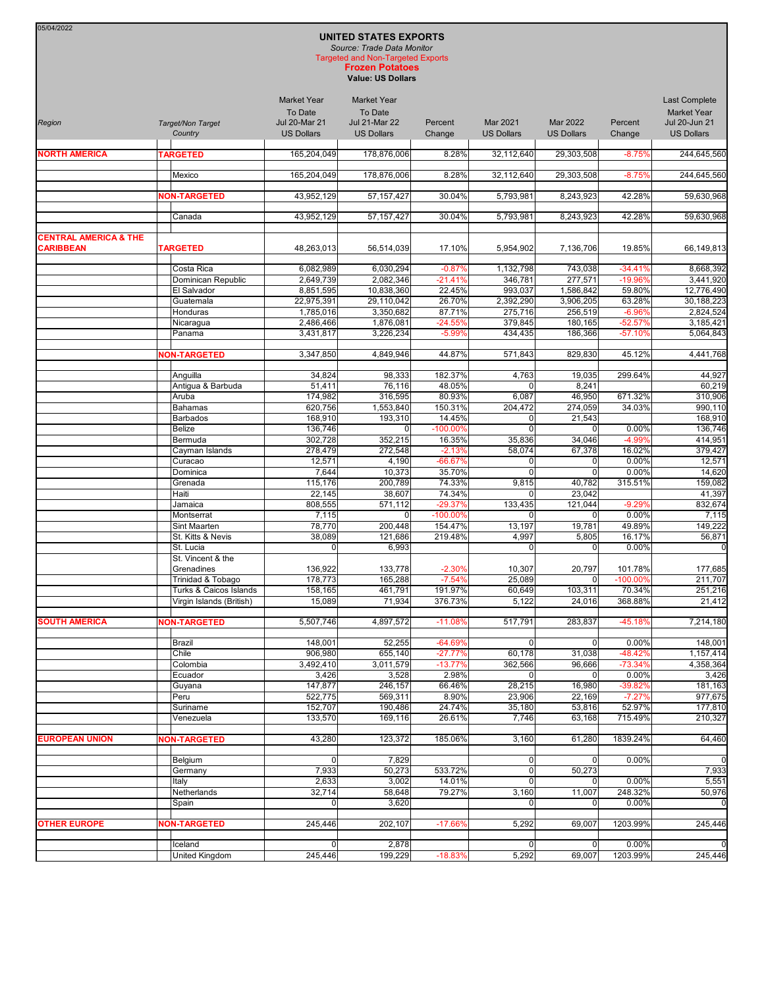| 05/04/2022<br><b>UNITED STATES EXPORTS</b><br>Source: Trade Data Monitor<br><b>Targeted and Non-Targeted Exports</b><br><b>Frozen Potatoes</b><br><b>Value: US Dollars</b> |                                |                                                                            |                                                                            |                        |                                      |                                      |                        |                                                                                  |
|----------------------------------------------------------------------------------------------------------------------------------------------------------------------------|--------------------------------|----------------------------------------------------------------------------|----------------------------------------------------------------------------|------------------------|--------------------------------------|--------------------------------------|------------------------|----------------------------------------------------------------------------------|
| Region                                                                                                                                                                     | Target/Non Target<br>Country   | <b>Market Year</b><br>To Date<br><b>Jul 20-Mar 21</b><br><b>US Dollars</b> | <b>Market Year</b><br>To Date<br><b>Jul 21-Mar 22</b><br><b>US Dollars</b> | Percent<br>Change      | <b>Mar 2021</b><br><b>US Dollars</b> | <b>Mar 2022</b><br><b>US Dollars</b> | Percent<br>Change      | <b>Last Complete</b><br><b>Market Year</b><br>Jul 20-Jun 21<br><b>US Dollars</b> |
| <b>NORTH AMERICA</b>                                                                                                                                                       | <b>TARGETED</b>                | 165,204,049                                                                | 178,876,006                                                                | 8.28%                  | 32,112,640                           | 29,303,508                           | $-8.75%$               | 244,645,560                                                                      |
|                                                                                                                                                                            | Mexico                         | 165,204,049                                                                | 178,876,006                                                                | 8.28%                  | 32,112,640                           | 29,303,508                           | $-8.75%$               | 244,645,560                                                                      |
|                                                                                                                                                                            | <b>NON-TARGETED</b>            | 43,952,129                                                                 | 57, 157, 427                                                               | 30.04%                 | 5,793,981                            | 8,243,923                            | 42.28%                 | 59,630,968                                                                       |
|                                                                                                                                                                            | Canada                         | 43,952,129                                                                 | 57, 157, 427                                                               | 30.04%                 | 5,793,981                            | 8,243,923                            | 42.28%                 | 59,630,968                                                                       |
| <b>CENTRAL AMERICA &amp; THE</b><br><b>CARIBBEAN</b>                                                                                                                       | <b>TARGETED</b>                | 48,263,013                                                                 | 56,514,039                                                                 | 17.10%                 | 5,954,902                            | 7,136,706                            | 19.85%                 | 66,149,813                                                                       |
|                                                                                                                                                                            | Costa Rica                     | 6,082,989                                                                  | 6,030,294                                                                  | $-0.87%$               | 1,132,798                            | 743,038                              | $-34.41%$              | 8,668,392                                                                        |
|                                                                                                                                                                            | Dominican Republic             | 2,649,739                                                                  | 2,082,346                                                                  | $-21.41%$              | 346,781                              | 277,571                              | -19.96%                | 3,441,920                                                                        |
|                                                                                                                                                                            | El Salvador<br>Guatemala       | 8,851,595<br>22,975,391                                                    | 10,838,360<br>29,110,042                                                   | 22.45%<br>26.70%       | 993,037<br>2,392,290                 | 1,586,842<br>3,906,205               | 59.80%<br>63.28%       | 12.776.490<br>30.188.223                                                         |
|                                                                                                                                                                            | Honduras                       | 1,785,016                                                                  | 3,350,682                                                                  | 87.71%                 | 275,716                              | 256,519                              | $-6.96%$               | 2.824.524                                                                        |
|                                                                                                                                                                            | Nicaragua                      | 2,486,466                                                                  | 1,876,081                                                                  | $-24.55%$              | 379,845                              | 180,165                              | $-52.57%$              | 3,185,421                                                                        |
|                                                                                                                                                                            | Panama                         | 3.431.817                                                                  | 3,226,234                                                                  | $-5.99%$               | 434,435                              | 186,366                              | $-57.10%$              | 5,064,843                                                                        |
|                                                                                                                                                                            | <b>NON-TARGETED</b>            | 3,347,850                                                                  | 4,849,946                                                                  | 44.87%                 | 571,843                              | 829,830                              | 45.12%                 | 4,441,768                                                                        |
|                                                                                                                                                                            | Anguilla                       | 34,824                                                                     | 98,333                                                                     | 182.37%                | 4,763                                | 19,035                               | 299.64%                | 44,927                                                                           |
|                                                                                                                                                                            | Antigua & Barbuda<br>Aruba     | 51,411<br>174,982                                                          | 76,116<br>316,595                                                          | 48.05%<br>80.93%       | 0<br>6,087                           | 8,241<br>46,950                      | 671.32%                | 60,219<br>310,906                                                                |
|                                                                                                                                                                            | <b>Bahamas</b>                 | 620,756                                                                    | 1,553,840                                                                  | 150.31%                | 204,472                              | 274,059                              | 34.03%                 | 990,110                                                                          |
|                                                                                                                                                                            | <b>Barbados</b>                | 168,910                                                                    | 193,310                                                                    | 14.45%                 | 0                                    | 21,543                               |                        | 168,910                                                                          |
|                                                                                                                                                                            | Belize                         | 136,746                                                                    | 0                                                                          | $-100.00%$             | $\Omega$                             |                                      | 0.00%                  | 136,746                                                                          |
|                                                                                                                                                                            | Bermuda<br>Cayman Islands      | 302,728<br>278,479                                                         | 352,215<br>272,548                                                         | 16.35%<br>$-2.13%$     | 35,836<br>58,074                     | 34,046<br>67,378                     | -4.99%<br>16.02%       | 414,951<br>379,427                                                               |
|                                                                                                                                                                            | Curacao                        | 12,571                                                                     | 4,190                                                                      | $-66.67%$              | 0                                    | $\Omega$                             | 0.00%                  | 12,571                                                                           |
|                                                                                                                                                                            | Dominica                       | 7,644                                                                      | 10,373                                                                     | 35.70%                 | $\Omega$                             | $\Omega$                             | 0.00%                  | 14,620                                                                           |
|                                                                                                                                                                            | Grenada                        | 115,176                                                                    | 200,789                                                                    | 74.33%                 | 9,815                                | 40,782                               | 315.51%                | 159,082                                                                          |
|                                                                                                                                                                            | Haiti<br>Jamaica               | 22,145<br>808,555                                                          | 38,607<br>571,112                                                          | 74.34%<br>$-29.37%$    | $\Omega$<br>133,435                  | 23,042<br>121,044                    | $-9.29%$               | 41,397<br>832,674                                                                |
|                                                                                                                                                                            | Montserrat                     | 7,115                                                                      | 0                                                                          | $-100.00\%$            | $\Omega$                             |                                      | 0.00%                  | 7,115                                                                            |
|                                                                                                                                                                            | Sint Maarten                   | 78,770                                                                     | 200,448                                                                    | 154.47%                | 13,197                               | 19,781                               | 49.89%                 | 149,222                                                                          |
|                                                                                                                                                                            | St. Kitts & Nevis              | 38,089                                                                     | 121,686                                                                    | 219.48%                | 4,997                                | 5,805                                | 16.17%                 | 56,871                                                                           |
|                                                                                                                                                                            | St. Lucia<br>St. Vincent & the | $\mathbf 0$                                                                | 6,993                                                                      |                        | $\mathbf 0$                          | $\Omega$                             | 0.00%                  | C                                                                                |
|                                                                                                                                                                            | Grenadines                     | 136,922                                                                    | 133,778                                                                    | $-2.30%$               | 10,307                               | 20,797                               | 101.78%                | 177,685                                                                          |
|                                                                                                                                                                            | Trinidad & Tobago              | 178,773                                                                    | 165,288                                                                    | $-7.54%$               | 25,089                               | $\overline{0}$                       | $-100.00%$             | 211,707                                                                          |
|                                                                                                                                                                            | Turks & Caicos Islands         | 158,165                                                                    | 461,791                                                                    | 191.97%                | 60,649                               | 103,311                              | 70.34%                 | 251,216                                                                          |
|                                                                                                                                                                            | Virgin Islands (British)       | 15,089                                                                     | 71,934                                                                     | 376.73%                | 5,122                                | 24,016                               | 368.88%                | 21,412                                                                           |
| <b>SOUTH AMERICA</b>                                                                                                                                                       | <b>NON-TARGETED</b>            | 5,507,746                                                                  | 4,897,572                                                                  | $-11.08%$              | 517,791                              | 283,837                              | -45.18%                | 7,214,180                                                                        |
|                                                                                                                                                                            | Brazil                         | 148,001                                                                    | 52,255                                                                     | $-64.69%$              | 0                                    |                                      | 0.00%                  | 148,001                                                                          |
|                                                                                                                                                                            | Chile<br>Colombia              | 906,980<br>3,492,410                                                       | 655,140<br>3,011,579                                                       | $-27.77%$<br>$-13.77%$ | 60,178<br>362,566                    | 31,038<br>96,666                     | $-48.42%$<br>$-73.34%$ | 1,157,414<br>4,358,364                                                           |
|                                                                                                                                                                            | Ecuador                        | 3,426                                                                      | 3,528                                                                      | 2.98%                  | $\Omega$                             |                                      | 0.00%                  | 3,426                                                                            |
|                                                                                                                                                                            | Guyana                         | 147,877                                                                    | 246,157                                                                    | 66.46%                 | 28,215                               | 16,980                               | -39.82%                | 181,163                                                                          |
|                                                                                                                                                                            | Peru                           | 522,775                                                                    | 569,311                                                                    | 8.90%                  | 23,906                               | 22,169                               | $-7.27%$               | 977,675                                                                          |
|                                                                                                                                                                            | Suriname<br>Venezuela          | 152,707<br>133,570                                                         | 190,486<br>169,116                                                         | 24.74%<br>26.61%       | 35,180<br>7,746                      | 53,816<br>63,168                     | 52.97%<br>715.49%      | 177,810<br>210,327                                                               |
|                                                                                                                                                                            |                                |                                                                            |                                                                            |                        |                                      |                                      |                        |                                                                                  |
| <b>EUROPEAN UNION</b>                                                                                                                                                      | <b>NON-TARGETED</b>            | 43,280                                                                     | 123,372                                                                    | 185.06%                | 3,160                                | 61,280                               | 1839.24%               | 64,460                                                                           |
|                                                                                                                                                                            | Belgium<br>Germany             | $\overline{0}$<br>7,933                                                    | 7,829<br>50,273                                                            | 533.72%                | 0 <br>$\overline{0}$                 | 50,273                               | 0.00%                  | C<br>7,933                                                                       |
|                                                                                                                                                                            | Italy                          | 2,633                                                                      | 3,002                                                                      | 14.01%                 | 0                                    |                                      | 0.00%                  | 5,551                                                                            |
|                                                                                                                                                                            | Netherlands                    | 32,714                                                                     | 58,648                                                                     | 79.27%                 | 3,160                                | 11,007                               | 248.32%                | 50,976                                                                           |
|                                                                                                                                                                            | Spain                          | $\mathbf 0$                                                                | 3,620                                                                      |                        |                                      |                                      | 0.00%                  |                                                                                  |
| <b>OTHER EUROPE</b>                                                                                                                                                        | <b>NON-TARGETED</b>            | 245,446                                                                    | 202,107                                                                    | $-17.66%$              | 5,292                                | 69,007                               | 1203.99%               | 245,446                                                                          |
|                                                                                                                                                                            | Iceland                        | $\overline{0}$                                                             | 2,878                                                                      |                        | 0                                    | 0                                    | 0.00%                  |                                                                                  |
|                                                                                                                                                                            | United Kingdom                 | 245,446                                                                    | 199,229                                                                    | $-18.83%$              | 5,292                                | 69,007                               | 1203.99%               | 245,446                                                                          |